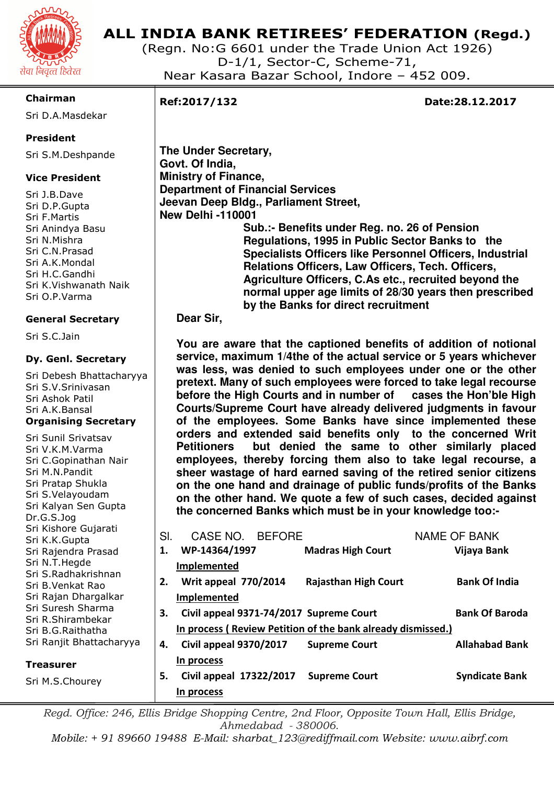

# **ALL INDIA BANK RETIREES' FEDERATION (Regd.)**

(Regn. No:G 6601 under the Trade Union Act 1926) D-1/1, Sector-C, Scheme-71, Near Kasara Bazar School, Indore – 452 009.

#### **Chairman**

Sri D.A.Masdekar

## **President**

Sri S.M.Deshpande

## **Vice President**

Sri J.B.Dave Sri D.P.Gupta Sri F.Martis Sri Anindya Basu Sri N.Mishra Sri C.N.Prasad Sri A.K.Mondal Sri H.C.Gandhi Sri K.Vishwanath Naik Sri O.P.Varma

#### **General Secretary**

Sri S.C.Jain

#### **Dy. Genl. Secretary**

Sri Debesh Bhattacharyya Sri S.V.Srinivasan Sri Ashok Patil Sri A.K.Bansal **Organising Secretary** 

| Sri Sunil Srivatsav<br>Sri V.K.M.Varma<br>Sri C.Gopinathan Nair<br>Sri M.N.Pandit<br>Sri Pratap Shukla<br>Sri S.Velayoudam<br>Sri Kalyan Sen Gupta<br>Dr.G.S.Jog                                                                            |           | <b>Petitioners</b><br>employees, thereby forcing them also to take legal recourse, a<br>sheer wastage of hard earned saving of the retired senior citizens<br>on the one hand and drainage of public funds/profits of the Banks<br>on the other hand. We quote a few of such cases, decided against<br>the concerned Banks which must be in your knowledge too:- |                                              | orders and extended said benefits only to the concerned Writ<br>but denied the same to other similarly placed |
|---------------------------------------------------------------------------------------------------------------------------------------------------------------------------------------------------------------------------------------------|-----------|------------------------------------------------------------------------------------------------------------------------------------------------------------------------------------------------------------------------------------------------------------------------------------------------------------------------------------------------------------------|----------------------------------------------|---------------------------------------------------------------------------------------------------------------|
| Sri Kishore Gujarati<br>Sri K.K.Gupta<br>Sri Rajendra Prasad<br>Sri N.T.Hegde<br>Sri S.Radhakrishnan<br>Sri B.Venkat Rao<br>Sri Rajan Dhargalkar<br>Sri Suresh Sharma<br>Sri R.Shirambekar<br>Sri B.G.Raithatha<br>Sri Ranjit Bhattacharyya | SI.<br>1. | CASE NO.<br><b>BEFORE</b><br>WP-14364/1997<br><b>Implemented</b>                                                                                                                                                                                                                                                                                                 | <b>Madras High Court</b>                     | NAME OF BANK<br>Vijaya Bank                                                                                   |
|                                                                                                                                                                                                                                             | 2.        | Writ appeal 770/2014<br>Implemented                                                                                                                                                                                                                                                                                                                              | <b>Rajasthan High Court</b>                  | <b>Bank Of India</b>                                                                                          |
|                                                                                                                                                                                                                                             | 3.        | Civil appeal 9371-74/2017 Supreme Court<br>In process (Review Petition of the bank already dismissed.)                                                                                                                                                                                                                                                           |                                              | <b>Bank Of Baroda</b>                                                                                         |
| <b>Treasurer</b><br>Sri M.S.Chourey                                                                                                                                                                                                         | 4.<br>5.  | <b>Civil appeal 9370/2017</b><br>In process<br>Civil appeal 17322/2017                                                                                                                                                                                                                                                                                           | <b>Supreme Court</b><br><b>Supreme Court</b> | <b>Allahabad Bank</b><br><b>Syndicate Bank</b>                                                                |
|                                                                                                                                                                                                                                             |           | In process                                                                                                                                                                                                                                                                                                                                                       |                                              |                                                                                                               |

*Regd. Office: 246, Ellis Bridge Shopping Centre, 2nd Floor, Opposite Town Hall, Ellis Bridge, Ahmedabad - 380006.* 

*Mobile: + 91 89660 19488 E-Mail: sharbat\_123@rediffmail.com Website: www.aibrf.com* 

I

**Ref:2017/132 Date:28.12.2017** 

**The Under Secretary, Govt. Of India, Ministry of Finance, Department of Financial Services Jeevan Deep Bldg., Parliament Street, New Delhi -110001 Sub.:- Benefits under Reg. no. 26 of Pension Regulations, 1995 in Public Sector Banks to the Specialists Officers like Personnel Officers, Industrial Relations Officers, Law Officers, Tech. Officers, Agriculture Officers, C.As etc., recruited beyond the normal upper age limits of 28/30 years then prescribed by the Banks for direct recruitment** 

#### **Dear Sir,**

**You are aware that the captioned benefits of addition of notional service, maximum 1/4the of the actual service or 5 years whichever was less, was denied to such employees under one or the other pretext. Many of such employees were forced to take legal recourse before the High Courts and in number of cases the Hon'ble High Courts/Supreme Court have already delivered judgments in favour of the employees. Some Banks have since implemented these**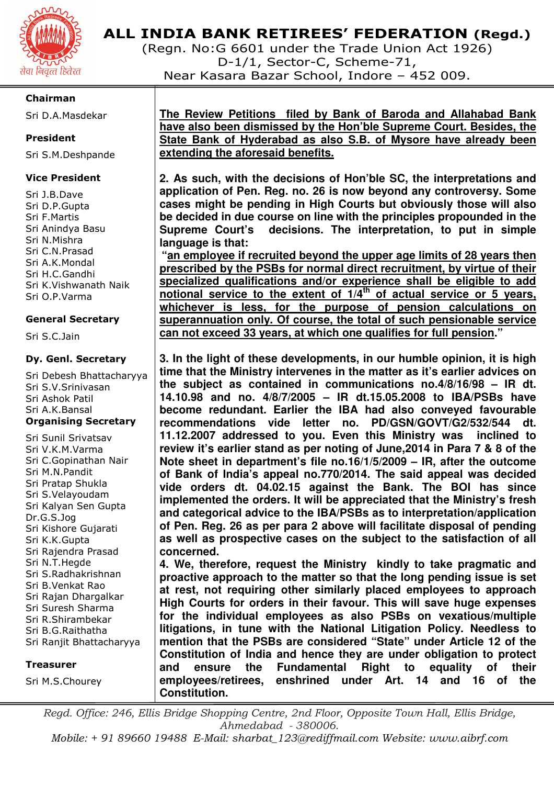

# **ALL INDIA BANK RETIREES' FEDERATION (Regd.)**

(Regn. No:G 6601 under the Trade Union Act 1926) D-1/1, Sector-C, Scheme-71, Near Kasara Bazar School, Indore – 452 009.

#### **Chairman**

Sri D.A.Masdekar

#### **President**

Sri S.M.Deshpande

#### **Vice President**

Sri J.B.Dave Sri D.P.Gupta Sri F.Martis Sri Anindya Basu Sri N.Mishra Sri C.N.Prasad Sri A.K.Mondal Sri H.C.Gandhi Sri K.Vishwanath Naik Sri O.P.Varma

#### **General Secretary**

Sri S.C.Jain

#### **Dy. Genl. Secretary**

Sri Debesh Bhattacharyya Sri S.V.Srinivasan Sri Ashok Patil Sri A.K.Bansal **Organising Secretary** 

Sri Sunil Srivatsav Sri V.K.M.Varma Sri C.Gopinathan Nair Sri M.N.Pandit Sri Pratap Shukla Sri S.Velayoudam Sri Kalyan Sen Gupta Dr.G.S.Jog Sri Kishore Gujarati Sri K.K.Gupta Sri Rajendra Prasad Sri N.T.Hegde Sri S.Radhakrishnan Sri B.Venkat Rao Sri Rajan Dhargalkar Sri Suresh Sharma Sri R.Shirambekar Sri B.G.Raithatha Sri Ranjit Bhattacharyya

#### **Treasurer**

Sri M.S.Chourey

**The Review Petitions filed by Bank of Baroda and Allahabad Bank have also been dismissed by the Hon'ble Supreme Court. Besides, the State Bank of Hyderabad as also S.B. of Mysore have already been extending the aforesaid benefits.** 

**2. As such, with the decisions of Hon'ble SC, the interpretations and application of Pen. Reg. no. 26 is now beyond any controversy. Some cases might be pending in High Courts but obviously those will also be decided in due course on line with the principles propounded in the Supreme Court's decisions. The interpretation, to put in simple language is that:** 

**"an employee if recruited beyond the upper age limits of 28 years then prescribed by the PSBs for normal direct recruitment, by virtue of their specialized qualifications and/or experience shall be eligible to add notional service to the extent of 1/4th of actual service or 5 years, whichever is less, for the purpose of pension calculations on superannuation only. Of course, the total of such pensionable service can not exceed 33 years, at which one qualifies for full pension."** 

**3. In the light of these developments, in our humble opinion, it is high time that the Ministry intervenes in the matter as it's earlier advices on the subject as contained in communications no.4/8/16/98 – IR dt. 14.10.98 and no. 4/8/7/2005 – IR dt.15.05.2008 to IBA/PSBs have become redundant. Earlier the IBA had also conveyed favourable recommendations vide letter no. PD/GSN/GOVT/G2/532/544 dt. 11.12.2007 addressed to you. Even this Ministry was inclined to review it's earlier stand as per noting of June,2014 in Para 7 & 8 of the Note sheet in department's file no.16/1/5/2009 – IR, after the outcome of Bank of India's appeal no.770/2014. The said appeal was decided vide orders dt. 04.02.15 against the Bank. The BOI has since implemented the orders. It will be appreciated that the Ministry's fresh and categorical advice to the IBA/PSBs as to interpretation/application of Pen. Reg. 26 as per para 2 above will facilitate disposal of pending as well as prospective cases on the subject to the satisfaction of all concerned.** 

**4. We, therefore, request the Ministry kindly to take pragmatic and proactive approach to the matter so that the long pending issue is set at rest, not requiring other similarly placed employees to approach High Courts for orders in their favour. This will save huge expenses for the individual employees as also PSBs on vexatious/multiple litigations, in tune with the National Litigation Policy. Needless to mention that the PSBs are considered "State" under Article 12 of the Constitution of India and hence they are under obligation to protect and ensure the Fundamental Right to equality of their employees/retirees, enshrined under Art. 14 and 16 of the Constitution.** 

*Regd. Office: 246, Ellis Bridge Shopping Centre, 2nd Floor, Opposite Town Hall, Ellis Bridge, Ahmedabad - 380006.* 

*Mobile: + 91 89660 19488 E-Mail: sharbat\_123@rediffmail.com Website: www.aibrf.com*